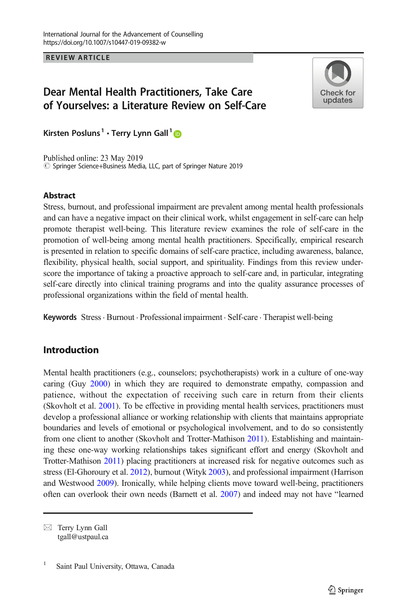REVIEW ARTICLE

# Dear Mental Health Practitioners, Take Care of Yourselves: a Literature Review on Self-Care



Kirsten Posluns<sup>1</sup> • Terry Lynn Gall<sup>1</sup>

Published online: 23 May 2019 © Springer Science+Business Media, LLC, part of Springer Nature 2019

### **Abstract**

Stress, burnout, and professional impairment are prevalent among mental health professionals and can have a negative impact on their clinical work, whilst engagement in self-care can help promote therapist well-being. This literature review examines the role of self-care in the promotion of well-being among mental health practitioners. Specifically, empirical research is presented in relation to specific domains of self-care practice, including awareness, balance, flexibility, physical health, social support, and spirituality. Findings from this review underscore the importance of taking a proactive approach to self-care and, in particular, integrating self-care directly into clinical training programs and into the quality assurance processes of professional organizations within the field of mental health.

Keywords Stress. Burnout . Professional impairment . Self-care . Therapist well-being

# Introduction

Mental health practitioners (e.g., counselors; psychotherapists) work in a culture of one-way caring (Guy [2000](#page-15-0)) in which they are required to demonstrate empathy, compassion and patience, without the expectation of receiving such care in return from their clients (Skovholt et al. [2001](#page-18-0)). To be effective in providing mental health services, practitioners must develop a professional alliance or working relationship with clients that maintains appropriate boundaries and levels of emotional or psychological involvement, and to do so consistently from one client to another (Skovholt and Trotter-Mathison [2011](#page-18-0)). Establishing and maintaining these one-way working relationships takes significant effort and energy (Skovholt and Trotter-Mathison [2011\)](#page-18-0) placing practitioners at increased risk for negative outcomes such as stress (El-Ghoroury et al. [2012](#page-15-0)), burnout (Wityk [2003\)](#page-19-0), and professional impairment (Harrison and Westwood [2009](#page-16-0)). Ironically, while helping clients move toward well-being, practitioners often can overlook their own needs (Barnett et al. [2007\)](#page-14-0) and indeed may not have "learned

 $\boxtimes$  Terry Lynn Gall [tgall@ustpaul.ca](mailto:tgall@ustpaul.ca)

<sup>&</sup>lt;sup>1</sup> Saint Paul University, Ottawa, Canada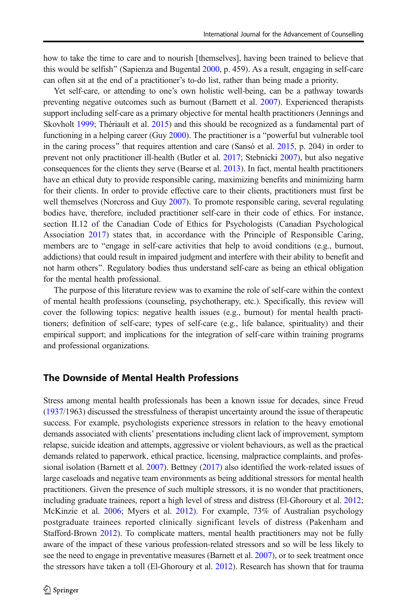how to take the time to care and to nourish [themselves], having been trained to believe that this would be selfish" (Sapienza and Bugental  $2000$ , p. 459). As a result, engaging in self-care can often sit at the end of a practitioner's to-do list, rather than being made a priority.

Yet self-care, or attending to one's own holistic well-being, can be a pathway towards preventing negative outcomes such as burnout (Barnett et al. [2007\)](#page-14-0). Experienced therapists support including self-care as a primary objective for mental health practitioners (Jennings and Skovholt [1999](#page-16-0); Thériault et al. [2015](#page-18-0)) and this should be recognized as a fundamental part of functioning in a helping career (Guy [2000](#page-15-0)). The practitioner is a "powerful but vulnerable tool in the caring process" that requires attention and care (Sansó et al.  $2015$ , p. 204) in order to prevent not only practitioner ill-health (Butler et al. [2017;](#page-14-0) Stebnicki [2007](#page-18-0)), but also negative consequences for the clients they serve (Bearse et al. [2013\)](#page-14-0). In fact, mental health practitioners have an ethical duty to provide responsible caring, maximizing benefits and minimizing harm for their clients. In order to provide effective care to their clients, practitioners must first be well themselves (Norcross and Guy [2007\)](#page-17-0). To promote responsible caring, several regulating bodies have, therefore, included practitioner self-care in their code of ethics. For instance, section II.12 of the Canadian Code of Ethics for Psychologists (Canadian Psychological Association [2017\)](#page-14-0) states that, in accordance with the Principle of Responsible Caring, members are to "engage in self-care activities that help to avoid conditions (e.g., burnout, addictions) that could result in impaired judgment and interfere with their ability to benefit and not harm others^. Regulatory bodies thus understand self-care as being an ethical obligation for the mental health professional.

The purpose of this literature review was to examine the role of self-care within the context of mental health professions (counseling, psychotherapy, etc.). Specifically, this review will cover the following topics: negative health issues (e.g., burnout) for mental health practitioners; definition of self-care; types of self-care (e.g., life balance, spirituality) and their empirical support; and implications for the integration of self-care within training programs and professional organizations.

### The Downside of Mental Health Professions

Stress among mental health professionals has been a known issue for decades, since Freud ([1937](#page-15-0)/1963) discussed the stressfulness of therapist uncertainty around the issue of therapeutic success. For example, psychologists experience stressors in relation to the heavy emotional demands associated with clients' presentations including client lack of improvement, symptom relapse, suicide ideation and attempts, aggressive or violent behaviours, as well as the practical demands related to paperwork, ethical practice, licensing, malpractice complaints, and professional isolation (Barnett et al. [2007\)](#page-14-0). Bettney ([2017](#page-14-0)) also identified the work-related issues of large caseloads and negative team environments as being additional stressors for mental health practitioners. Given the presence of such multiple stressors, it is no wonder that practitioners, including graduate trainees, report a high level of stress and distress (El-Ghoroury et al. [2012](#page-15-0); McKinzie et al. [2006;](#page-16-0) Myers et al. [2012\)](#page-17-0). For example, 73% of Australian psychology postgraduate trainees reported clinically significant levels of distress (Pakenham and Stafford-Brown [2012\)](#page-17-0). To complicate matters, mental health practitioners may not be fully aware of the impact of these various profession-related stressors and so will be less likely to see the need to engage in preventative measures (Barnett et al. [2007\)](#page-14-0), or to seek treatment once the stressors have taken a toll (El-Ghoroury et al. [2012](#page-15-0)). Research has shown that for trauma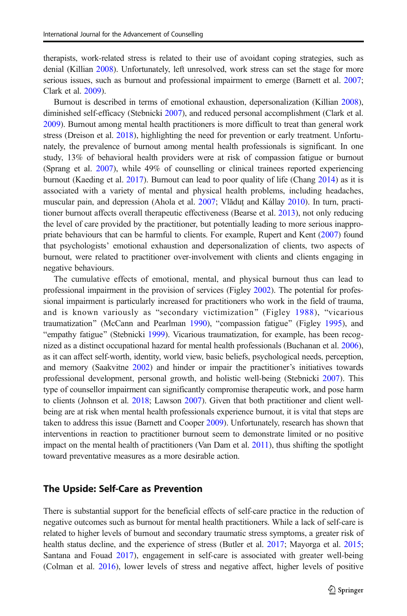therapists, work-related stress is related to their use of avoidant coping strategies, such as denial (Killian [2008](#page-16-0)). Unfortunately, left unresolved, work stress can set the stage for more serious issues, such as burnout and professional impairment to emerge (Barnett et al. [2007](#page-14-0); Clark et al. [2009](#page-14-0)).

Burnout is described in terms of emotional exhaustion, depersonalization (Killian [2008](#page-16-0)), diminished self-efficacy (Stebnicki [2007\)](#page-18-0), and reduced personal accomplishment (Clark et al. [2009](#page-14-0)). Burnout among mental health practitioners is more difficult to treat than general work stress (Dreison et al. [2018](#page-15-0)), highlighting the need for prevention or early treatment. Unfortunately, the prevalence of burnout among mental health professionals is significant. In one study, 13% of behavioral health providers were at risk of compassion fatigue or burnout (Sprang et al. [2007](#page-18-0)), while 49% of counselling or clinical trainees reported experiencing burnout (Kaeding et al. [2017](#page-16-0)). Burnout can lead to poor quality of life (Chang [2014](#page-14-0)) as it is associated with a variety of mental and physical health problems, including headaches, muscular pain, and depression (Ahola et al. [2007;](#page-13-0) Vlăduţ and Kállay [2010](#page-19-0)). In turn, practitioner burnout affects overall therapeutic effectiveness (Bearse et al. [2013](#page-14-0)), not only reducing the level of care provided by the practitioner, but potentially leading to more serious inappropriate behaviours that can be harmful to clients. For example, Rupert and Kent ([2007](#page-18-0)) found that psychologists' emotional exhaustion and depersonalization of clients, two aspects of burnout, were related to practitioner over-involvement with clients and clients engaging in negative behaviours.

The cumulative effects of emotional, mental, and physical burnout thus can lead to professional impairment in the provision of services (Figley [2002\)](#page-15-0). The potential for professional impairment is particularly increased for practitioners who work in the field of trauma, and is known variously as "secondary victimization" (Figley [1988](#page-15-0)), "vicarious traumatization" (McCann and Pearlman [1990\)](#page-16-0), "compassion fatigue" (Figley [1995\)](#page-15-0), and "empathy fatigue" (Stebnicki [1999](#page-18-0)). Vicarious traumatization, for example, has been recognized as a distinct occupational hazard for mental health professionals (Buchanan et al. [2006](#page-14-0)), as it can affect self-worth, identity, world view, basic beliefs, psychological needs, perception, and memory (Saakvitne [2002\)](#page-18-0) and hinder or impair the practitioner's initiatives towards professional development, personal growth, and holistic well-being (Stebnicki [2007](#page-18-0)). This type of counsellor impairment can significantly compromise therapeutic work, and pose harm to clients (Johnson et al. [2018](#page-16-0); Lawson [2007\)](#page-16-0). Given that both practitioner and client wellbeing are at risk when mental health professionals experience burnout, it is vital that steps are taken to address this issue (Barnett and Cooper [2009](#page-14-0)). Unfortunately, research has shown that interventions in reaction to practitioner burnout seem to demonstrate limited or no positive impact on the mental health of practitioners (Van Dam et al. [2011](#page-19-0)), thus shifting the spotlight toward preventative measures as a more desirable action.

### The Upside: Self-Care as Prevention

There is substantial support for the beneficial effects of self-care practice in the reduction of negative outcomes such as burnout for mental health practitioners. While a lack of self-care is related to higher levels of burnout and secondary traumatic stress symptoms, a greater risk of health status decline, and the experience of stress (Butler et al. [2017;](#page-14-0) Mayorga et al. [2015](#page-16-0); Santana and Fouad [2017](#page-18-0)), engagement in self-care is associated with greater well-being (Colman et al. [2016\)](#page-14-0), lower levels of stress and negative affect, higher levels of positive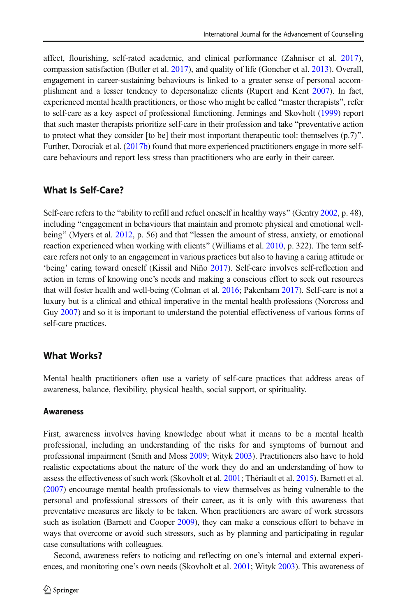affect, flourishing, self-rated academic, and clinical performance (Zahniser et al. [2017](#page-19-0)), compassion satisfaction (Butler et al. [2017](#page-14-0)), and quality of life (Goncher et al. [2013](#page-15-0)). Overall, engagement in career-sustaining behaviours is linked to a greater sense of personal accomplishment and a lesser tendency to depersonalize clients (Rupert and Kent [2007\)](#page-18-0). In fact, experienced mental health practitioners, or those who might be called "master therapists", refer to self-care as a key aspect of professional functioning. Jennings and Skovholt [\(1999\)](#page-16-0) report that such master therapists prioritize self-care in their profession and take "preventative action to protect what they consider [to be] their most important therapeutic tool: themselves  $(p.7)^{\prime\prime}$ . Further, Dorociak et al. [\(2017b](#page-15-0)) found that more experienced practitioners engage in more selfcare behaviours and report less stress than practitioners who are early in their career.

### What Is Self-Care?

Self-care refers to the "ability to refill and refuel oneself in healthy ways" (Gentry [2002,](#page-15-0) p. 48), including "engagement in behaviours that maintain and promote physical and emotional well-being" (Myers et al. [2012](#page-17-0), p. 56) and that "lessen the amount of stress, anxiety, or emotional reaction experienced when working with clients" (Williams et al. [2010,](#page-19-0) p. 322). The term selfcare refers not only to an engagement in various practices but also to having a caring attitude or 'being' caring toward oneself (Kissil and Niño [2017](#page-16-0)). Self-care involves self-reflection and action in terms of knowing one's needs and making a conscious effort to seek out resources that will foster health and well-being (Colman et al. [2016](#page-14-0); Pakenham [2017\)](#page-17-0). Self-care is not a luxury but is a clinical and ethical imperative in the mental health professions (Norcross and Guy [2007\)](#page-17-0) and so it is important to understand the potential effectiveness of various forms of self-care practices.

### What Works?

Mental health practitioners often use a variety of self-care practices that address areas of awareness, balance, flexibility, physical health, social support, or spirituality.

### **Awareness**

First, awareness involves having knowledge about what it means to be a mental health professional, including an understanding of the risks for and symptoms of burnout and professional impairment (Smith and Moss [2009](#page-18-0); Wityk [2003\)](#page-19-0). Practitioners also have to hold realistic expectations about the nature of the work they do and an understanding of how to assess the effectiveness of such work (Skovholt et al. [2001](#page-18-0); Thériault et al. [2015\)](#page-18-0). Barnett et al. ([2007](#page-14-0)) encourage mental health professionals to view themselves as being vulnerable to the personal and professional stressors of their career, as it is only with this awareness that preventative measures are likely to be taken. When practitioners are aware of work stressors such as isolation (Barnett and Cooper [2009](#page-14-0)), they can make a conscious effort to behave in ways that overcome or avoid such stressors, such as by planning and participating in regular case consultations with colleagues.

Second, awareness refers to noticing and reflecting on one's internal and external experiences, and monitoring one's own needs (Skovholt et al. [2001;](#page-18-0) Wityk [2003\)](#page-19-0). This awareness of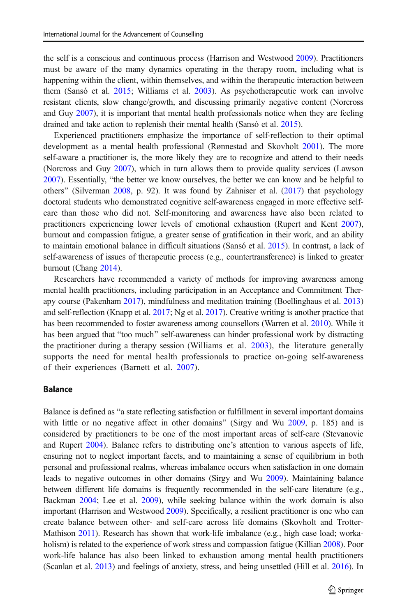the self is a conscious and continuous process (Harrison and Westwood [2009](#page-16-0)). Practitioners must be aware of the many dynamics operating in the therapy room, including what is happening within the client, within themselves, and within the therapeutic interaction between them (Sansó et al. [2015;](#page-18-0) Williams et al. [2003\)](#page-19-0). As psychotherapeutic work can involve resistant clients, slow change/growth, and discussing primarily negative content (Norcross and Guy [2007\)](#page-17-0), it is important that mental health professionals notice when they are feeling drained and take action to replenish their mental health (Sansó et al. [2015\)](#page-18-0).

Experienced practitioners emphasize the importance of self-reflection to their optimal development as a mental health professional (Rønnestad and Skovholt [2001](#page-17-0)). The more self-aware a practitioner is, the more likely they are to recognize and attend to their needs (Norcross and Guy [2007\)](#page-17-0), which in turn allows them to provide quality services (Lawson [2007](#page-16-0)). Essentially, "the better we know ourselves, the better we can know and be helpful to others" (Silverman [2008](#page-18-0), p. 92). It was found by Zahniser et al.  $(2017)$  $(2017)$  $(2017)$  that psychology doctoral students who demonstrated cognitive self-awareness engaged in more effective selfcare than those who did not. Self-monitoring and awareness have also been related to practitioners experiencing lower levels of emotional exhaustion (Rupert and Kent [2007](#page-18-0)), burnout and compassion fatigue, a greater sense of gratification in their work, and an ability to maintain emotional balance in difficult situations (Sansó et al. [2015\)](#page-18-0). In contrast, a lack of self-awareness of issues of therapeutic process (e.g., countertransference) is linked to greater burnout (Chang [2014\)](#page-14-0).

Researchers have recommended a variety of methods for improving awareness among mental health practitioners, including participation in an Acceptance and Commitment Therapy course (Pakenham [2017\)](#page-17-0), mindfulness and meditation training (Boellinghaus et al. [2013\)](#page-14-0) and self-reflection (Knapp et al. [2017;](#page-16-0) Ng et al. [2017\)](#page-17-0). Creative writing is another practice that has been recommended to foster awareness among counsellors (Warren et al. [2010](#page-19-0)). While it has been argued that "too much" self-awareness can hinder professional work by distracting the practitioner during a therapy session (Williams et al. [2003](#page-19-0)), the literature generally supports the need for mental health professionals to practice on-going self-awareness of their experiences (Barnett et al. [2007](#page-14-0)).

#### Balance

Balance is defined as "a state reflecting satisfaction or fulfillment in several important domains with little or no negative affect in other domains" (Sirgy and Wu [2009,](#page-18-0) p. 185) and is considered by practitioners to be one of the most important areas of self-care (Stevanovic and Rupert [2004](#page-18-0)). Balance refers to distributing one's attention to various aspects of life, ensuring not to neglect important facets, and to maintaining a sense of equilibrium in both personal and professional realms, whereas imbalance occurs when satisfaction in one domain leads to negative outcomes in other domains (Sirgy and Wu [2009](#page-18-0)). Maintaining balance between different life domains is frequently recommended in the self-care literature (e.g., Backman [2004](#page-14-0); Lee et al. [2009](#page-16-0)), while seeking balance within the work domain is also important (Harrison and Westwood [2009](#page-16-0)). Specifically, a resilient practitioner is one who can create balance between other- and self-care across life domains (Skovholt and Trotter-Mathison [2011\)](#page-18-0). Research has shown that work-life imbalance (e.g., high case load; worka-holism) is related to the experience of work stress and compassion fatigue (Killian [2008\)](#page-16-0). Poor work-life balance has also been linked to exhaustion among mental health practitioners (Scanlan et al. [2013](#page-18-0)) and feelings of anxiety, stress, and being unsettled (Hill et al. [2016\)](#page-16-0). In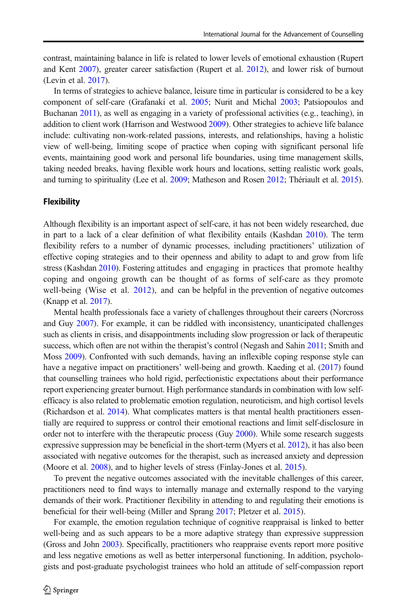contrast, maintaining balance in life is related to lower levels of emotional exhaustion (Rupert and Kent [2007\)](#page-18-0), greater career satisfaction (Rupert et al. [2012\)](#page-18-0), and lower risk of burnout (Levin et al. [2017](#page-16-0)).

In terms of strategies to achieve balance, leisure time in particular is considered to be a key component of self-care (Grafanaki et al. [2005](#page-15-0); Nurit and Michal [2003](#page-17-0); Patsiopoulos and Buchanan [2011\)](#page-17-0), as well as engaging in a variety of professional activities (e.g., teaching), in addition to client work (Harrison and Westwood [2009](#page-16-0)). Other strategies to achieve life balance include: cultivating non-work-related passions, interests, and relationships, having a holistic view of well-being, limiting scope of practice when coping with significant personal life events, maintaining good work and personal life boundaries, using time management skills, taking needed breaks, having flexible work hours and locations, setting realistic work goals, and turning to spirituality (Lee et al. [2009](#page-16-0); Matheson and Rosen [2012;](#page-16-0) Thériault et al. [2015](#page-18-0)).

### **Flexibility**

Although flexibility is an important aspect of self-care, it has not been widely researched, due in part to a lack of a clear definition of what flexibility entails (Kashdan [2010\)](#page-16-0). The term flexibility refers to a number of dynamic processes, including practitioners' utilization of effective coping strategies and to their openness and ability to adapt to and grow from life stress (Kashdan [2010](#page-16-0)). Fostering attitudes and engaging in practices that promote healthy coping and ongoing growth can be thought of as forms of self-care as they promote well-being (Wise et al. [2012\)](#page-19-0), and can be helpful in the prevention of negative outcomes (Knapp et al. [2017\)](#page-16-0).

Mental health professionals face a variety of challenges throughout their careers (Norcross and Guy [2007](#page-17-0)). For example, it can be riddled with inconsistency, unanticipated challenges such as clients in crisis, and disappointments including slow progression or lack of therapeutic success, which often are not within the therapist's control (Negash and Sahin [2011](#page-17-0); Smith and Moss [2009](#page-18-0)). Confronted with such demands, having an inflexible coping response style can have a negative impact on practitioners' well-being and growth. Kaeding et al. ([2017](#page-16-0)) found that counselling trainees who hold rigid, perfectionistic expectations about their performance report experiencing greater burnout. High performance standards in combination with low selfefficacy is also related to problematic emotion regulation, neuroticism, and high cortisol levels (Richardson et al. [2014\)](#page-17-0). What complicates matters is that mental health practitioners essentially are required to suppress or control their emotional reactions and limit self-disclosure in order not to interfere with the therapeutic process (Guy [2000](#page-15-0)). While some research suggests expressive suppression may be beneficial in the short-term (Myers et al. [2012](#page-17-0)), it has also been associated with negative outcomes for the therapist, such as increased anxiety and depression (Moore et al. [2008\)](#page-17-0), and to higher levels of stress (Finlay-Jones et al. [2015](#page-15-0)).

To prevent the negative outcomes associated with the inevitable challenges of this career, practitioners need to find ways to internally manage and externally respond to the varying demands of their work. Practitioner flexibility in attending to and regulating their emotions is beneficial for their well-being (Miller and Sprang [2017;](#page-16-0) Pletzer et al. [2015\)](#page-17-0).

For example, the emotion regulation technique of cognitive reappraisal is linked to better well-being and as such appears to be a more adaptive strategy than expressive suppression (Gross and John [2003\)](#page-15-0). Specifically, practitioners who reappraise events report more positive and less negative emotions as well as better interpersonal functioning. In addition, psychologists and post-graduate psychologist trainees who hold an attitude of self-compassion report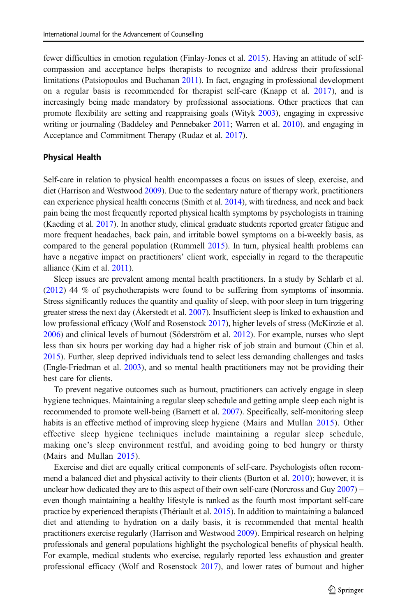fewer difficulties in emotion regulation (Finlay-Jones et al. [2015\)](#page-15-0). Having an attitude of selfcompassion and acceptance helps therapists to recognize and address their professional limitations (Patsiopoulos and Buchanan [2011\)](#page-17-0). In fact, engaging in professional development on a regular basis is recommended for therapist self-care (Knapp et al. [2017](#page-16-0)), and is increasingly being made mandatory by professional associations. Other practices that can promote flexibility are setting and reappraising goals (Wityk [2003\)](#page-19-0), engaging in expressive writing or journaling (Baddeley and Pennebaker [2011;](#page-14-0) Warren et al. [2010\)](#page-19-0), and engaging in Acceptance and Commitment Therapy (Rudaz et al. [2017\)](#page-17-0).

#### Physical Health

Self-care in relation to physical health encompasses a focus on issues of sleep, exercise, and diet (Harrison and Westwood [2009\)](#page-16-0). Due to the sedentary nature of therapy work, practitioners can experience physical health concerns (Smith et al. [2014](#page-18-0)), with tiredness, and neck and back pain being the most frequently reported physical health symptoms by psychologists in training (Kaeding et al. [2017\)](#page-16-0). In another study, clinical graduate students reported greater fatigue and more frequent headaches, back pain, and irritable bowel symptoms on a bi-weekly basis, as compared to the general population (Rummell [2015](#page-18-0)). In turn, physical health problems can have a negative impact on practitioners' client work, especially in regard to the therapeutic alliance (Kim et al. [2011](#page-16-0)).

Sleep issues are prevalent among mental health practitioners. In a study by Schlarb et al. ([2012](#page-18-0)) 44 % of psychotherapists were found to be suffering from symptoms of insomnia. Stress significantly reduces the quantity and quality of sleep, with poor sleep in turn triggering greater stress the next day (Åkerstedt et al. [2007](#page-13-0)). Insufficient sleep is linked to exhaustion and low professional efficacy (Wolf and Rosenstock [2017\)](#page-19-0), higher levels of stress (McKinzie et al. [2006](#page-16-0)) and clinical levels of burnout (Söderström et al. [2012](#page-18-0)). For example, nurses who slept less than six hours per working day had a higher risk of job strain and burnout (Chin et al. [2015](#page-14-0)). Further, sleep deprived individuals tend to select less demanding challenges and tasks (Engle-Friedman et al. [2003\)](#page-15-0), and so mental health practitioners may not be providing their best care for clients.

To prevent negative outcomes such as burnout, practitioners can actively engage in sleep hygiene techniques. Maintaining a regular sleep schedule and getting ample sleep each night is recommended to promote well-being (Barnett et al. [2007\)](#page-14-0). Specifically, self-monitoring sleep habits is an effective method of improving sleep hygiene (Mairs and Mullan [2015](#page-16-0)). Other effective sleep hygiene techniques include maintaining a regular sleep schedule, making one's sleep environment restful, and avoiding going to bed hungry or thirsty (Mairs and Mullan [2015\)](#page-16-0).

Exercise and diet are equally critical components of self-care. Psychologists often recommend a balanced diet and physical activity to their clients (Burton et al. [2010](#page-14-0)); however, it is unclear how dedicated they are to this aspect of their own self-care (Norcross and Guy  $2007$ ) – even though maintaining a healthy lifestyle is ranked as the fourth most important self-care practice by experienced therapists (Thériault et al. [2015](#page-18-0)). In addition to maintaining a balanced diet and attending to hydration on a daily basis, it is recommended that mental health practitioners exercise regularly (Harrison and Westwood [2009\)](#page-16-0). Empirical research on helping professionals and general populations highlight the psychological benefits of physical health. For example, medical students who exercise, regularly reported less exhaustion and greater professional efficacy (Wolf and Rosenstock [2017\)](#page-19-0), and lower rates of burnout and higher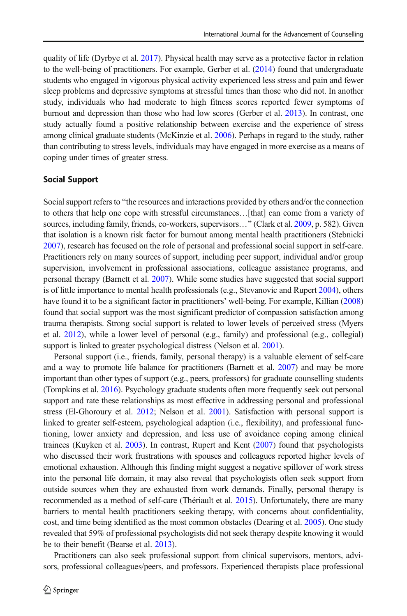quality of life (Dyrbye et al. [2017\)](#page-15-0). Physical health may serve as a protective factor in relation to the well-being of practitioners. For example, Gerber et al. ([2014](#page-15-0)) found that undergraduate students who engaged in vigorous physical activity experienced less stress and pain and fewer sleep problems and depressive symptoms at stressful times than those who did not. In another study, individuals who had moderate to high fitness scores reported fewer symptoms of burnout and depression than those who had low scores (Gerber et al. [2013](#page-15-0)). In contrast, one study actually found a positive relationship between exercise and the experience of stress among clinical graduate students (McKinzie et al. [2006](#page-16-0)). Perhaps in regard to the study, rather than contributing to stress levels, individuals may have engaged in more exercise as a means of coping under times of greater stress.

#### Social Support

Social support refers to "the resources and interactions provided by others and/or the connection to others that help one cope with stressful circumstances…[that] can come from a variety of sources, including family, friends, co-workers, supervisors..." (Clark et al. [2009](#page-14-0), p. 582). Given that isolation is a known risk factor for burnout among mental health practitioners (Stebnicki [2007](#page-18-0)), research has focused on the role of personal and professional social support in self-care. Practitioners rely on many sources of support, including peer support, individual and/or group supervision, involvement in professional associations, colleague assistance programs, and personal therapy (Barnett et al. [2007](#page-14-0)). While some studies have suggested that social support is of little importance to mental health professionals (e.g., Stevanovic and Rupert [2004\)](#page-18-0), others have found it to be a significant factor in practitioners' well-being. For example, Killian [\(2008\)](#page-16-0) found that social support was the most significant predictor of compassion satisfaction among trauma therapists. Strong social support is related to lower levels of perceived stress (Myers et al. [2012\)](#page-17-0), while a lower level of personal (e.g., family) and professional (e.g., collegial) support is linked to greater psychological distress (Nelson et al. [2001\)](#page-17-0).

Personal support (i.e., friends, family, personal therapy) is a valuable element of self-care and a way to promote life balance for practitioners (Barnett et al. [2007\)](#page-14-0) and may be more important than other types of support (e.g., peers, professors) for graduate counselling students (Tompkins et al. [2016](#page-18-0)). Psychology graduate students often more frequently seek out personal support and rate these relationships as most effective in addressing personal and professional stress (El-Ghoroury et al. [2012](#page-15-0); Nelson et al. [2001](#page-17-0)). Satisfaction with personal support is linked to greater self-esteem, psychological adaption (i.e., flexibility), and professional functioning, lower anxiety and depression, and less use of avoidance coping among clinical trainees (Kuyken et al. [2003\)](#page-16-0). In contrast, Rupert and Kent [\(2007\)](#page-18-0) found that psychologists who discussed their work frustrations with spouses and colleagues reported higher levels of emotional exhaustion. Although this finding might suggest a negative spillover of work stress into the personal life domain, it may also reveal that psychologists often seek support from outside sources when they are exhausted from work demands. Finally, personal therapy is recommended as a method of self-care (Thériault et al. [2015](#page-18-0)). Unfortunately, there are many barriers to mental health practitioners seeking therapy, with concerns about confidentiality, cost, and time being identified as the most common obstacles (Dearing et al. [2005](#page-15-0)). One study revealed that 59% of professional psychologists did not seek therapy despite knowing it would be to their benefit (Bearse et al. [2013\)](#page-14-0).

Practitioners can also seek professional support from clinical supervisors, mentors, advisors, professional colleagues/peers, and professors. Experienced therapists place professional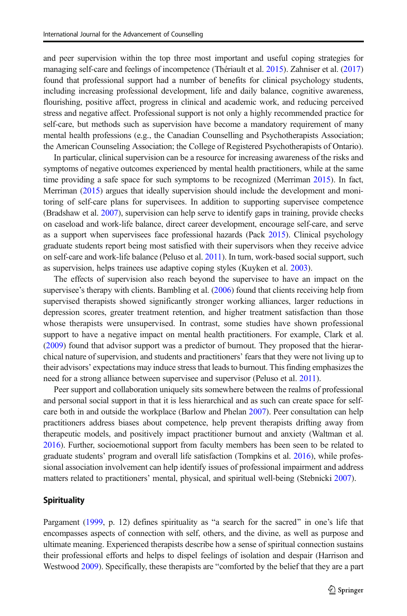and peer supervision within the top three most important and useful coping strategies for managing self-care and feelings of incompetence (Thériault et al. [2015](#page-18-0)). Zahniser et al. [\(2017\)](#page-19-0) found that professional support had a number of benefits for clinical psychology students, including increasing professional development, life and daily balance, cognitive awareness, flourishing, positive affect, progress in clinical and academic work, and reducing perceived stress and negative affect. Professional support is not only a highly recommended practice for self-care, but methods such as supervision have become a mandatory requirement of many mental health professions (e.g., the Canadian Counselling and Psychotherapists Association; the American Counseling Association; the College of Registered Psychotherapists of Ontario).

In particular, clinical supervision can be a resource for increasing awareness of the risks and symptoms of negative outcomes experienced by mental health practitioners, while at the same time providing a safe space for such symptoms to be recognized (Merriman [2015](#page-16-0)). In fact, Merriman ([2015\)](#page-16-0) argues that ideally supervision should include the development and monitoring of self-care plans for supervisees. In addition to supporting supervisee competence (Bradshaw et al. [2007\)](#page-14-0), supervision can help serve to identify gaps in training, provide checks on caseload and work-life balance, direct career development, encourage self-care, and serve as a support when supervisees face professional hazards (Pack [2015\)](#page-17-0). Clinical psychology graduate students report being most satisfied with their supervisors when they receive advice on self-care and work-life balance (Peluso et al. [2011\)](#page-17-0). In turn, work-based social support, such as supervision, helps trainees use adaptive coping styles (Kuyken et al. [2003](#page-16-0)).

The effects of supervision also reach beyond the supervisee to have an impact on the supervisee's therapy with clients. Bambling et al. [\(2006\)](#page-14-0) found that clients receiving help from supervised therapists showed significantly stronger working alliances, larger reductions in depression scores, greater treatment retention, and higher treatment satisfaction than those whose therapists were unsupervised. In contrast, some studies have shown professional support to have a negative impact on mental health practitioners. For example, Clark et al. ([2009](#page-14-0)) found that advisor support was a predictor of burnout. They proposed that the hierarchical nature of supervision, and students and practitioners' fears that they were not living up to their advisors' expectations may induce stress that leads to burnout. This finding emphasizes the need for a strong alliance between supervisee and supervisor (Peluso et al. [2011\)](#page-17-0).

Peer support and collaboration uniquely sits somewhere between the realms of professional and personal social support in that it is less hierarchical and as such can create space for selfcare both in and outside the workplace (Barlow and Phelan [2007](#page-14-0)). Peer consultation can help practitioners address biases about competence, help prevent therapists drifting away from therapeutic models, and positively impact practitioner burnout and anxiety (Waltman et al. [2016](#page-19-0)). Further, socioemotional support from faculty members has been seen to be related to graduate students' program and overall life satisfaction (Tompkins et al. [2016\)](#page-18-0), while professional association involvement can help identify issues of professional impairment and address matters related to practitioners' mental, physical, and spiritual well-being (Stebnicki [2007\)](#page-18-0).

#### **Spirituality**

Pargament ([1999](#page-17-0), p. 12) defines spirituality as "a search for the sacred" in one's life that encompasses aspects of connection with self, others, and the divine, as well as purpose and ultimate meaning. Experienced therapists describe how a sense of spiritual connection sustains their professional efforts and helps to dispel feelings of isolation and despair (Harrison and Westwood [2009](#page-16-0)). Specifically, these therapists are "comforted by the belief that they are a part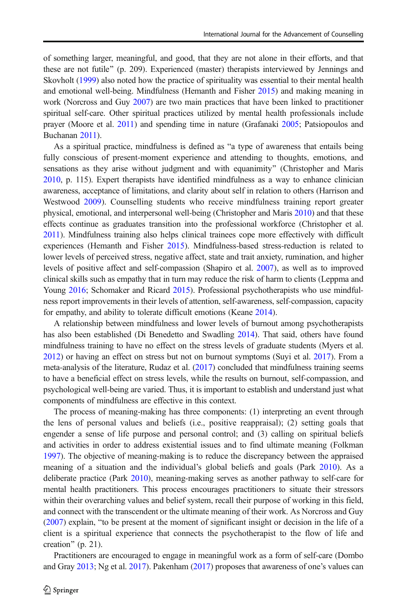of something larger, meaningful, and good, that they are not alone in their efforts, and that these are not futile" (p. 209). Experienced (master) therapists interviewed by Jennings and Skovholt [\(1999\)](#page-16-0) also noted how the practice of spirituality was essential to their mental health and emotional well-being. Mindfulness (Hemanth and Fisher [2015](#page-16-0)) and making meaning in work (Norcross and Guy [2007](#page-17-0)) are two main practices that have been linked to practitioner spiritual self-care. Other spiritual practices utilized by mental health professionals include prayer (Moore et al. [2011](#page-17-0)) and spending time in nature (Grafanaki [2005;](#page-15-0) Patsiopoulos and Buchanan [2011\)](#page-17-0).

As a spiritual practice, mindfulness is defined as "a type of awareness that entails being fully conscious of present-moment experience and attending to thoughts, emotions, and sensations as they arise without judgment and with equanimity" (Christopher and Maris [2010](#page-14-0), p. 115). Expert therapists have identified mindfulness as a way to enhance clinician awareness, acceptance of limitations, and clarity about self in relation to others (Harrison and Westwood [2009\)](#page-16-0). Counselling students who receive mindfulness training report greater physical, emotional, and interpersonal well-being (Christopher and Maris [2010\)](#page-14-0) and that these effects continue as graduates transition into the professional workforce (Christopher et al. [2011\)](#page-14-0). Mindfulness training also helps clinical trainees cope more effectively with difficult experiences (Hemanth and Fisher [2015](#page-16-0)). Mindfulness-based stress-reduction is related to lower levels of perceived stress, negative affect, state and trait anxiety, rumination, and higher levels of positive affect and self-compassion (Shapiro et al. [2007\)](#page-18-0), as well as to improved clinical skills such as empathy that in turn may reduce the risk of harm to clients (Leppma and Young [2016;](#page-16-0) Schomaker and Ricard [2015](#page-18-0)). Professional psychotherapists who use mindfulness report improvements in their levels of attention, self-awareness, self-compassion, capacity for empathy, and ability to tolerate difficult emotions (Keane [2014](#page-16-0)).

A relationship between mindfulness and lower levels of burnout among psychotherapists has also been established (Di Benedetto and Swadling [2014](#page-15-0)). That said, others have found mindfulness training to have no effect on the stress levels of graduate students (Myers et al. [2012](#page-17-0)) or having an effect on stress but not on burnout symptoms (Suyi et al. [2017](#page-18-0)). From a meta-analysis of the literature, Rudaz et al. [\(2017](#page-17-0)) concluded that mindfulness training seems to have a beneficial effect on stress levels, while the results on burnout, self-compassion, and psychological well-being are varied. Thus, it is important to establish and understand just what components of mindfulness are effective in this context.

The process of meaning-making has three components: (1) interpreting an event through the lens of personal values and beliefs (i.e., positive reappraisal); (2) setting goals that engender a sense of life purpose and personal control; and (3) calling on spiritual beliefs and activities in order to address existential issues and to find ultimate meaning (Folkman [1997](#page-15-0)). The objective of meaning-making is to reduce the discrepancy between the appraised meaning of a situation and the individual's global beliefs and goals (Park [2010\)](#page-17-0). As a deliberate practice (Park [2010\)](#page-17-0), meaning-making serves as another pathway to self-care for mental health practitioners. This process encourages practitioners to situate their stressors within their overarching values and belief system, recall their purpose of working in this field, and connect with the transcendent or the ultimate meaning of their work. As Norcross and Guy  $(2007)$  $(2007)$  $(2007)$  explain, "to be present at the moment of significant insight or decision in the life of a client is a spiritual experience that connects the psychotherapist to the flow of life and creation" (p. 21).

Practitioners are encouraged to engage in meaningful work as a form of self-care (Dombo and Gray [2013](#page-15-0); Ng et al. [2017\)](#page-17-0). Pakenham ([2017](#page-17-0)) proposes that awareness of one's values can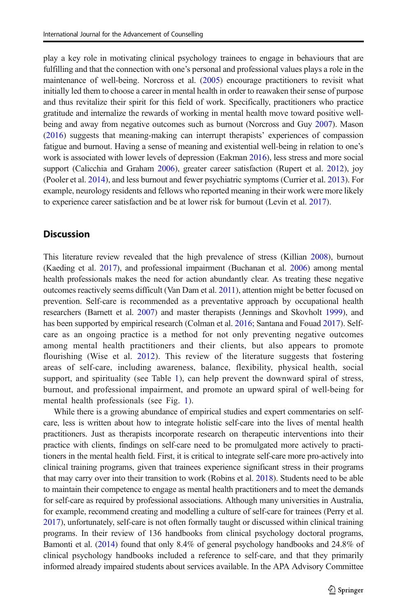play a key role in motivating clinical psychology trainees to engage in behaviours that are fulfilling and that the connection with one's personal and professional values plays a role in the maintenance of well-being. Norcross et al. [\(2005](#page-17-0)) encourage practitioners to revisit what initially led them to choose a career in mental health in order to reawaken their sense of purpose and thus revitalize their spirit for this field of work. Specifically, practitioners who practice gratitude and internalize the rewards of working in mental health move toward positive wellbeing and away from negative outcomes such as burnout (Norcross and Guy [2007\)](#page-17-0). Mason ([2016](#page-16-0)) suggests that meaning-making can interrupt therapists' experiences of compassion fatigue and burnout. Having a sense of meaning and existential well-being in relation to one's work is associated with lower levels of depression (Eakman [2016\)](#page-15-0), less stress and more social support (Calicchia and Graham [2006\)](#page-14-0), greater career satisfaction (Rupert et al. [2012\)](#page-18-0), joy (Pooler et al. [2014\)](#page-17-0), and less burnout and fewer psychiatric symptoms (Currier et al. [2013](#page-15-0)). For example, neurology residents and fellows who reported meaning in their work were more likely to experience career satisfaction and be at lower risk for burnout (Levin et al. [2017\)](#page-16-0).

# **Discussion**

This literature review revealed that the high prevalence of stress (Killian [2008](#page-16-0)), burnout (Kaeding et al. [2017](#page-16-0)), and professional impairment (Buchanan et al. [2006\)](#page-14-0) among mental health professionals makes the need for action abundantly clear. As treating these negative outcomes reactively seems difficult (Van Dam et al. [2011\)](#page-19-0), attention might be better focused on prevention. Self-care is recommended as a preventative approach by occupational health researchers (Barnett et al. [2007\)](#page-14-0) and master therapists (Jennings and Skovholt [1999](#page-16-0)), and has been supported by empirical research (Colman et al. [2016](#page-14-0); Santana and Fouad [2017\)](#page-18-0). Selfcare as an ongoing practice is a method for not only preventing negative outcomes among mental health practitioners and their clients, but also appears to promote flourishing (Wise et al. [2012\)](#page-19-0). This review of the literature suggests that fostering areas of self-care, including awareness, balance, flexibility, physical health, social support, and spirituality (see Table [1\)](#page-11-0), can help prevent the downward spiral of stress, burnout, and professional impairment, and promote an upward spiral of well-being for mental health professionals (see Fig. [1\)](#page-12-0).

While there is a growing abundance of empirical studies and expert commentaries on selfcare, less is written about how to integrate holistic self-care into the lives of mental health practitioners. Just as therapists incorporate research on therapeutic interventions into their practice with clients, findings on self-care need to be promulgated more actively to practitioners in the mental health field. First, it is critical to integrate self-care more pro-actively into clinical training programs, given that trainees experience significant stress in their programs that may carry over into their transition to work (Robins et al. [2018\)](#page-17-0). Students need to be able to maintain their competence to engage as mental health practitioners and to meet the demands for self-care as required by professional associations. Although many universities in Australia, for example, recommend creating and modelling a culture of self-care for trainees (Perry et al. [2017](#page-17-0)), unfortunately, self-care is not often formally taught or discussed within clinical training programs. In their review of 136 handbooks from clinical psychology doctoral programs, Bamonti et al. ([2014](#page-14-0)) found that only 8.4% of general psychology handbooks and 24.8% of clinical psychology handbooks included a reference to self-care, and that they primarily informed already impaired students about services available. In the APA Advisory Committee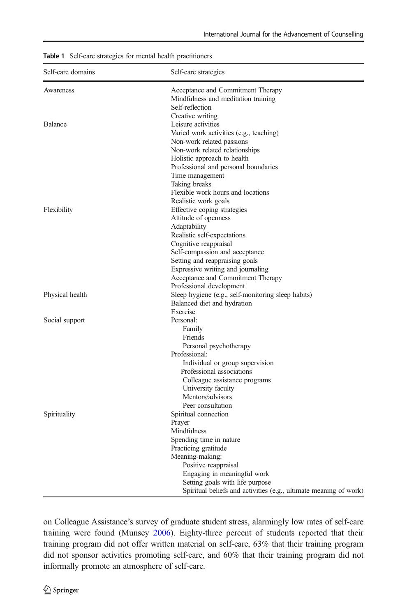| Self-care domains<br>Self-care strategies                             |  |
|-----------------------------------------------------------------------|--|
| Acceptance and Commitment Therapy<br>Awareness                        |  |
| Mindfulness and meditation training                                   |  |
| Self-reflection                                                       |  |
| Creative writing                                                      |  |
| Balance<br>Leisure activities                                         |  |
| Varied work activities (e.g., teaching)                               |  |
| Non-work related passions                                             |  |
| Non-work related relationships                                        |  |
| Holistic approach to health                                           |  |
| Professional and personal boundaries                                  |  |
| Time management<br>Taking breaks                                      |  |
| Flexible work hours and locations                                     |  |
| Realistic work goals                                                  |  |
| Flexibility<br>Effective coping strategies                            |  |
| Attitude of openness                                                  |  |
| Adaptability                                                          |  |
| Realistic self-expectations                                           |  |
| Cognitive reappraisal                                                 |  |
| Self-compassion and acceptance                                        |  |
| Setting and reappraising goals                                        |  |
| Expressive writing and journaling                                     |  |
| Acceptance and Commitment Therapy                                     |  |
| Professional development                                              |  |
| Physical health<br>Sleep hygiene (e.g., self-monitoring sleep habits) |  |
| Balanced diet and hydration                                           |  |
| Exercise                                                              |  |
| Social support<br>Personal:                                           |  |
| Family                                                                |  |
| Friends                                                               |  |
| Personal psychotherapy                                                |  |
| Professional:                                                         |  |
| Individual or group supervision                                       |  |
| Professional associations                                             |  |
| Colleague assistance programs                                         |  |
| University faculty                                                    |  |
| Mentors/advisors                                                      |  |
| Peer consultation                                                     |  |
| Spirituality<br>Spiritual connection<br>Prayer                        |  |
| Mindfulness                                                           |  |
| Spending time in nature                                               |  |
| Practicing gratitude                                                  |  |
| Meaning-making:                                                       |  |
| Positive reappraisal                                                  |  |
| Engaging in meaningful work                                           |  |
| Setting goals with life purpose                                       |  |
| Spiritual beliefs and activities (e.g., ultimate meaning of work)     |  |

<span id="page-11-0"></span>Table 1 Self-care strategies for mental health practitioners

on Colleague Assistance's survey of graduate student stress, alarmingly low rates of self-care training were found (Munsey [2006](#page-17-0)). Eighty-three percent of students reported that their training program did not offer written material on self-care, 63% that their training program did not sponsor activities promoting self-care, and 60% that their training program did not informally promote an atmosphere of self-care.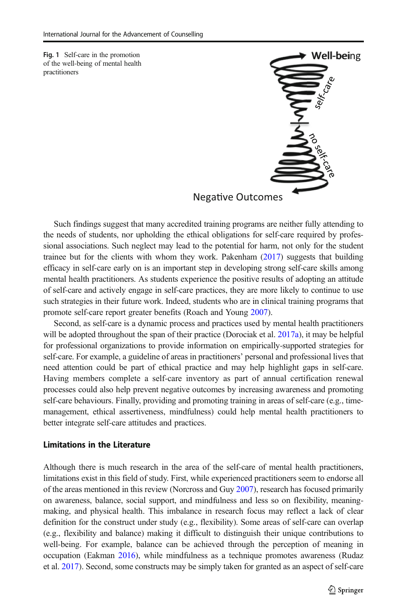<span id="page-12-0"></span>Fig. 1 Self-care in the promotion of the well-being of mental health practitioners



Such findings suggest that many accredited training programs are neither fully attending to the needs of students, nor upholding the ethical obligations for self-care required by professional associations. Such neglect may lead to the potential for harm, not only for the student trainee but for the clients with whom they work. Pakenham [\(2017\)](#page-17-0) suggests that building efficacy in self-care early on is an important step in developing strong self-care skills among mental health practitioners. As students experience the positive results of adopting an attitude of self-care and actively engage in self-care practices, they are more likely to continue to use such strategies in their future work. Indeed, students who are in clinical training programs that promote self-care report greater benefits (Roach and Young [2007](#page-17-0)).

Nega-

Second, as self-care is a dynamic process and practices used by mental health practitioners will be adopted throughout the span of their practice (Dorociak et al. [2017a\)](#page-15-0), it may be helpful for professional organizations to provide information on empirically-supported strategies for self-care. For example, a guideline of areas in practitioners' personal and professional lives that need attention could be part of ethical practice and may help highlight gaps in self-care. Having members complete a self-care inventory as part of annual certification renewal processes could also help prevent negative outcomes by increasing awareness and promoting self-care behaviours. Finally, providing and promoting training in areas of self-care (e.g., timemanagement, ethical assertiveness, mindfulness) could help mental health practitioners to better integrate self-care attitudes and practices.

#### Limitations in the Literature

Although there is much research in the area of the self-care of mental health practitioners, limitations exist in this field of study. First, while experienced practitioners seem to endorse all of the areas mentioned in this review (Norcross and Guy [2007\)](#page-17-0), research has focused primarily on awareness, balance, social support, and mindfulness and less so on flexibility, meaningmaking, and physical health. This imbalance in research focus may reflect a lack of clear definition for the construct under study (e.g., flexibility). Some areas of self-care can overlap (e.g., flexibility and balance) making it difficult to distinguish their unique contributions to well-being. For example, balance can be achieved through the perception of meaning in occupation (Eakman [2016](#page-15-0)), while mindfulness as a technique promotes awareness (Rudaz et al. [2017](#page-17-0)). Second, some constructs may be simply taken for granted as an aspect of self-care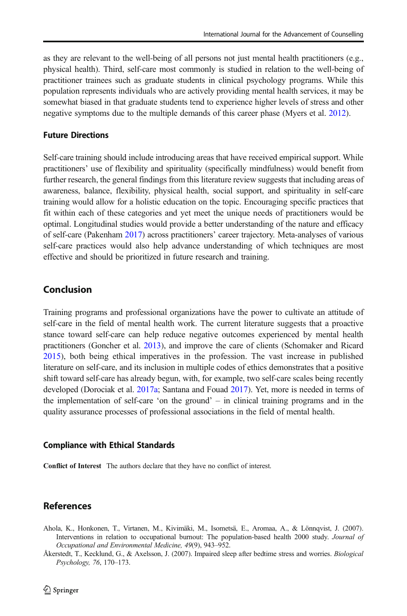<span id="page-13-0"></span>as they are relevant to the well-being of all persons not just mental health practitioners (e.g., physical health). Third, self-care most commonly is studied in relation to the well-being of practitioner trainees such as graduate students in clinical psychology programs. While this population represents individuals who are actively providing mental health services, it may be somewhat biased in that graduate students tend to experience higher levels of stress and other negative symptoms due to the multiple demands of this career phase (Myers et al. [2012\)](#page-17-0).

#### Future Directions

Self-care training should include introducing areas that have received empirical support. While practitioners' use of flexibility and spirituality (specifically mindfulness) would benefit from further research, the general findings from this literature review suggests that including areas of awareness, balance, flexibility, physical health, social support, and spirituality in self-care training would allow for a holistic education on the topic. Encouraging specific practices that fit within each of these categories and yet meet the unique needs of practitioners would be optimal. Longitudinal studies would provide a better understanding of the nature and efficacy of self-care (Pakenham [2017\)](#page-17-0) across practitioners' career trajectory. Meta-analyses of various self-care practices would also help advance understanding of which techniques are most effective and should be prioritized in future research and training.

# Conclusion

Training programs and professional organizations have the power to cultivate an attitude of self-care in the field of mental health work. The current literature suggests that a proactive stance toward self-care can help reduce negative outcomes experienced by mental health practitioners (Goncher et al. [2013\)](#page-15-0), and improve the care of clients (Schomaker and Ricard [2015\)](#page-18-0), both being ethical imperatives in the profession. The vast increase in published literature on self-care, and its inclusion in multiple codes of ethics demonstrates that a positive shift toward self-care has already begun, with, for example, two self-care scales being recently developed (Dorociak et al. [2017a](#page-15-0); Santana and Fouad [2017\)](#page-18-0). Yet, more is needed in terms of the implementation of self-care 'on the ground' – in clinical training programs and in the quality assurance processes of professional associations in the field of mental health.

#### Compliance with Ethical Standards

Conflict of Interest The authors declare that they have no conflict of interest.

# References

Ahola, K., Honkonen, T., Virtanen, M., Kivimäki, M., Isometsä, E., Aromaa, A., & Lönnqvist, J. (2007). Interventions in relation to occupational burnout: The population-based health 2000 study. Journal of Occupational and Environmental Medicine, 49(9), 943–952.

Åkerstedt, T., Kecklund, G., & Axelsson, J. (2007). Impaired sleep after bedtime stress and worries. *Biological* Psychology, 76, 170–173.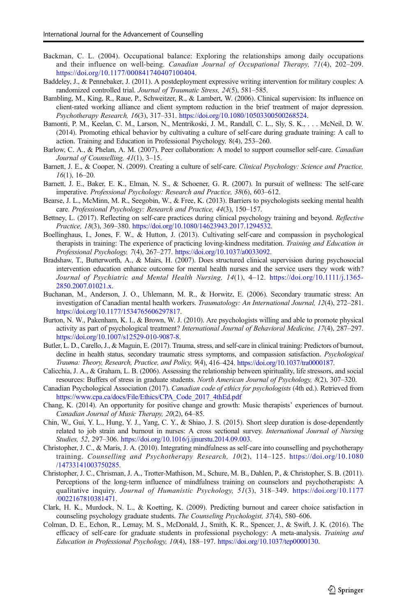- <span id="page-14-0"></span>Backman, C. L. (2004). Occupational balance: Exploring the relationships among daily occupations and their influence on well-being. Canadian Journal of Occupational Therapy, 71(4), 202–209. [https://doi.org/10.1177/000841740407100404.](https://doi.org/10.1177/000841740407100404)
- Baddeley, J., & Pennebaker, J. (2011). A postdeployment expressive writing intervention for military couples: A randomized controlled trial. Journal of Traumatic Stress, 24(5), 581–585.
- Bambling, M., King, R., Raue, P., Schweitzer, R., & Lambert, W. (2006). Clinical supervision: Its influence on client-rated working alliance and client symptom reduction in the brief treatment of major depression. Psychotherapy Research, 16(3), 317–331. <https://doi.org/10.1080/10503300500268524>.
- Bamonti, P. M., Keelan, C. M., Larson, N., Mentrikoski, J. M., Randall, C. L., Sly, S. K., . . . McNeil, D. W. (2014). Promoting ethical behavior by cultivating a culture of self-care during graduate training: A call to action. Training and Education in Professional Psychology, 8(4), 253–260.
- Barlow, C. A., & Phelan, A. M. (2007). Peer collaboration: A model to support counsellor self-care. Canadian Journal of Counselling, 41(1), 3–15.
- Barnett, J. E., & Cooper, N. (2009). Creating a culture of self-care. Clinical Psychology: Science and Practice, 16(1), 16–20.
- Barnett, J. E., Baker, E. K., Elman, N. S., & Schoener, G. R. (2007). In pursuit of wellness: The self-care imperative. Professional Psychology: Research and Practice, 38(6), 603–612.
- Bearse, J. L., McMinn, M. R., Seegobin, W., & Free, K. (2013). Barriers to psychologists seeking mental health care. Professional Psychology: Research and Practice, 44(3), 150–157.
- Bettney, L. (2017). Reflecting on self-care practices during clinical psychology training and beyond. Reflective Practice, 18(3), 369–380. <https://doi.org/10.1080/14623943.2017.1294532>.
- Boellinghaus, I., Jones, F. W., & Hutton, J. (2013). Cultivating self-care and compassion in psychological therapists in training: The experience of practicing loving-kindness meditation. Training and Education in Professional Psychology, 7(4), 267–277. [https://doi.org/10.1037/a0033092.](https://doi.org/10.1037/a0033092)
- Bradshaw, T., Butterworth, A., & Mairs, H. (2007). Does structured clinical supervision during psychosocial intervention education enhance outcome for mental health nurses and the service users they work with? Journal of Psychiatric and Mental Health Nursing, 14(1), 4–12. [https://doi.org/10.1111/j.1365-](https://doi.org/10.1111/j.1365-2850.2007.01021.x) [2850.2007.01021.x.](https://doi.org/10.1111/j.1365-2850.2007.01021.x)
- Buchanan, M., Anderson, J. O., Uhlemann, M. R., & Horwitz, E. (2006). Secondary traumatic stress: An investigation of Canadian mental health workers. Traumatology: An International Journal, 12(4), 272–281. [https://doi.org/10.1177/1534765606297817.](https://doi.org/10.1177/1534765606297817)
- Burton, N. W., Pakenham, K. I., & Brown, W. J. (2010). Are psychologists willing and able to promote physical activity as part of psychological treatment? International Journal of Behavioral Medicine, 17(4), 287–297. <https://doi.org/10.1007/s12529-010-9087-8>.
- Butler, L. D., Carello, J., & Maguin, E. (2017). Trauma, stress, and self-care in clinical training: Predictors of burnout, decline in health status, secondary traumatic stress symptoms, and compassion satisfaction. Psychological Trauma: Theory, Research, Practice, and Policy, 9(4), 416–424. [https://doi.org/10.1037/tra0000187.](https://doi.org/10.1037/tra0000187)
- Calicchia, J. A., & Graham, L. B. (2006). Assessing the relationship between spirituality, life stressors, and social resources: Buffers of stress in graduate students. North American Journal of Psychology, 8(2), 307–320.
- Canadian Psychological Association (2017). Canadian code of ethics for psychologists (4th ed.). Retrieved from [https://www.cpa.ca/docs/File/Ethics/CPA\\_Code\\_2017\\_4thEd.pdf](https://www.cpa.ca/docs/File/Ethics/CPA_Code_2017_4thEd.pdf)
- Chang, K. (2014). An opportunity for positive change and growth: Music therapists' experiences of burnout. Canadian Journal of Music Therapy, 20(2), 64–85.
- Chin, W., Gui, Y. L., Hung, Y. J., Yang, C. Y., & Shiao, J. S. (2015). Short sleep duration is dose-dependently related to job strain and burnout in nurses: A cross sectional survey. International Journal of Nursing Studies, 52, 297–306. <https://doi.org/10.1016/j.ijnurstu.2014.09.003>.
- Christopher, J. C., & Maris, J. A. (2010). Integrating mindfulness as self-care into counselling and psychotherapy training. Counselling and Psychotherapy Research, 10(2), 114–125. [https://doi.org/10.1080](https://doi.org/10.1080/14733141003750285) [/14733141003750285.](https://doi.org/10.1080/14733141003750285)
- Christopher, J. C., Chrisman, J. A., Trotter-Mathison, M., Schure, M. B., Dahlen, P., & Christopher, S. B. (2011). Perceptions of the long-term influence of mindfulness training on counselors and psychotherapists: A qualitative inquiry. Journal of Humanistic Psychology, 51(3), 318–349. [https://doi.org/10.1177](https://doi.org/10.1177/0022167810381471) [/0022167810381471.](https://doi.org/10.1177/0022167810381471)
- Clark, H. K., Murdock, N. L., & Koetting, K. (2009). Predicting burnout and career choice satisfaction in counseling psychology graduate students. The Counseling Psychologist, 37(4), 580–606.
- Colman, D. E., Echon, R., Lemay, M. S., McDonald, J., Smith, K. R., Spencer, J., & Swift, J. K. (2016). The efficacy of self-care for graduate students in professional psychology: A meta-analysis. Training and Education in Professional Psychology, 10(4), 188–197. [https://doi.org/10.1037/tep0000130.](https://doi.org/10.1037/tep0000130)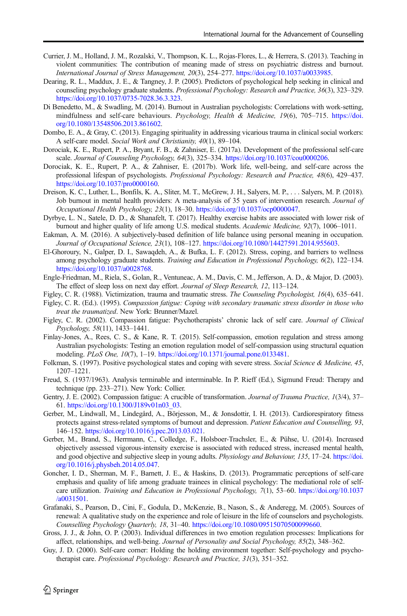- <span id="page-15-0"></span>Currier, J. M., Holland, J. M., Rozalski, V., Thompson, K. L., Rojas-Flores, L., & Herrera, S. (2013). Teaching in violent communities: The contribution of meaning made of stress on psychiatric distress and burnout. International Journal of Stress Management, 20(3), 254–277. [https://doi.org/10.1037/a0033985.](https://doi.org/10.1037/a0033985)
- Dearing, R. L., Maddux, J. E., & Tangney, J. P. (2005). Predictors of psychological help seeking in clinical and counseling psychology graduate students. Professional Psychology: Research and Practice, 36(3), 323–329. <https://doi.org/10.1037/0735-7028.36.3.323>.
- Di Benedetto, M., & Swadling, M. (2014). Burnout in Australian psychologists: Correlations with work-setting, mindfulness and self-care behaviours. Psychology, Health & Medicine, 19(6), 705–715. [https://doi.](https://doi.org/10.1080/13548506.2013.861602) [org/10.1080/13548506.2013.861602.](https://doi.org/10.1080/13548506.2013.861602)
- Dombo, E. A., & Gray, C. (2013). Engaging spirituality in addressing vicarious trauma in clinical social workers: A self-care model. Social Work and Christianity, 40(1), 89–104.
- Dorociak, K. E., Rupert, P. A., Bryant, F. B., & Zahniser, E. (2017a). Development of the professional self-care scale. Journal of Counseling Psychology, 64(3), 325–334. [https://doi.org/10.1037/cou0000206.](https://doi.org/10.1037/cou0000206)
- Dorociak, K. E., Rupert, P. A., & Zahniser, E. (2017b). Work life, well-being, and self-care across the professional lifespan of psychologists. Professional Psychology: Research and Practice, 48(6), 429–437. <https://doi.org/10.1037/pro0000160>.
- Dreison, K. C., Luther, L., Bonfils, K. A., Sliter, M. T., McGrew, J. H., Salyers, M. P., . . . Salyers, M. P. (2018). Job burnout in mental health providers: A meta-analysis of 35 years of intervention research. Journal of Occupational Health Psychology, 23(1), 18–30. <https://doi.org/10.1037/ocp0000047>.
- Dyrbye, L. N., Satele, D. D., & Shanafelt, T. (2017). Healthy exercise habits are associated with lower risk of burnout and higher quality of life among U.S. medical students. Academic Medicine, 92(7), 1006-1011.
- Eakman, A. M. (2016). A subjectively-based definition of life balance using personal meaning in occupation. Journal of Occupational Science, 23(1), 108–127. [https://doi.org/10.1080/14427591.2014.955603.](https://doi.org/10.1080/14427591.2014.955603)
- El-Ghoroury, N., Galper, D. I., Sawaqdeh, A., & Bufka, L. F. (2012). Stress, coping, and barriers to wellness among psychology graduate students. Training and Education in Professional Psychology, 6(2), 122–134. <https://doi.org/10.1037/a0028768>.
- Engle-Friedman, M., Riela, S., Golan, R., Ventuneac, A. M., Davis, C. M., Jefferson, A. D., & Major, D. (2003). The effect of sleep loss on next day effort. Journal of Sleep Research, 12, 113–124.
- Figley, C. R. (1988). Victimization, trauma and traumatic stress. The Counseling Psychologist, 16(4), 635–641.
- Figley, C. R. (Ed.). (1995). Compassion fatigue: Coping with secondary traumatic stress disorder in those who treat the traumatized. New York: Brunner/Mazel.
- Figley, C. R. (2002). Compassion fatigue: Psychotherapists' chronic lack of self care. Journal of Clinical Psychology, 58(11), 1433–1441.
- Finlay-Jones, A., Rees, C. S., & Kane, R. T. (2015). Self-compassion, emotion regulation and stress among Australian psychologists: Testing an emotion regulation model of self-compassion using structural equation modeling. PLoS One, 10(7), 1–19. <https://doi.org/10.1371/journal.pone.0133481>.
- Folkman, S. (1997). Positive psychological states and coping with severe stress. Social Science & Medicine, 45, 1207–1221.
- Freud, S. (1937/1963). Analysis terminable and interminable. In P. Rieff (Ed.), Sigmund Freud: Therapy and technique (pp. 233–271). New York: Collier.
- Gentry, J. E. (2002). Compassion fatigue: A crucible of transformation. Journal of Trauma Practice, 1(3/4), 37– 61. [https://doi.org/10.1300/J189v01n03\\_03](https://doi.org/10.1300/J189v01n03_03).
- Gerber, M., Lindwall, M., Lindegård, A., Börjesson, M., & Jonsdottir, I. H. (2013). Cardiorespiratory fitness protects against stress-related symptoms of burnout and depression. Patient Education and Counselling, 93, 146–152. <https://doi.org/10.1016/j.pec.2013.03.021>.
- Gerber, M., Brand, S., Herrmann, C., Colledge, F., Holsboer-Trachsler, E., & Pühse, U. (2014). Increased objectively assessed vigorous-intensity exercise is associated with reduced stress, increased mental health, and good objective and subjective sleep in young adults. Physiology and Behaviour, 135, 17-24. [https://doi.](https://doi.org/10.1016/j.physbeh.2014.05.047) [org/10.1016/j.physbeh.2014.05.047](https://doi.org/10.1016/j.physbeh.2014.05.047).
- Goncher, I. D., Sherman, M. F., Barnett, J. E., & Haskins, D. (2013). Programmatic perceptions of self-care emphasis and quality of life among graduate trainees in clinical psychology: The mediational role of selfcare utilization. Training and Education in Professional Psychology, 7(1), 53–60. [https://doi.org/10.1037](https://doi.org/10.1037/a0031501) [/a0031501](https://doi.org/10.1037/a0031501).
- Grafanaki, S., Pearson, D., Cini, F., Godula, D., McKenzie, B., Nason, S., & Anderegg, M. (2005). Sources of renewal: A qualitative study on the experience and role of leisure in the life of counselors and psychologists. Counselling Psychology Quarterly, 18, 31–40. <https://doi.org/10.1080/09515070500099660>.
- Gross, J. J., & John, O. P. (2003). Individual differences in two emotion regulation processes: Implications for affect, relationships, and well-being. Journal of Personality and Social Psychology, 85(2), 348–362.
- Guy, J. D. (2000). Self-care corner: Holding the holding environment together: Self-psychology and psychotherapist care. Professional Psychology: Research and Practice, 31(3), 351-352.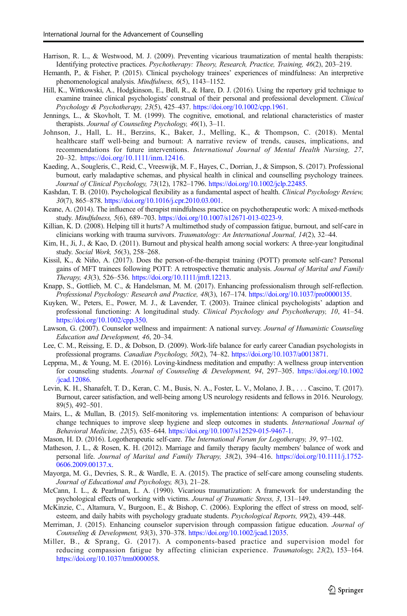- <span id="page-16-0"></span>Harrison, R. L., & Westwood, M. J. (2009). Preventing vicarious traumatization of mental health therapists: Identifying protective practices. Psychotherapy: Theory, Research, Practice, Training, 46(2), 203–219.
- Hemanth, P., & Fisher, P. (2015). Clinical psychology trainees' experiences of mindfulness: An interpretive phenomenological analysis. Mindfulness, 6(5), 1143–1152.
- Hill, K., Wittkowski, A., Hodgkinson, E., Bell, R., & Hare, D. J. (2016). Using the repertory grid technique to examine trainee clinical psychologists' construal of their personal and professional development. Clinical Psychology & Psychotherapy, 23(5), 425–437. <https://doi.org/10.1002/cpp.1961>.
- Jennings, L., & Skovholt, T. M. (1999). The cognitive, emotional, and relational characteristics of master therapists. Journal of Counseling Psychology, 46(1), 3–11.
- Johnson, J., Hall, L. H., Berzins, K., Baker, J., Melling, K., & Thompson, C. (2018). Mental healthcare staff well-being and burnout: A narrative review of trends, causes, implications, and recommendations for future interventions. International Journal of Mental Health Nursing, 27, 20–32. <https://doi.org/10.1111/inm.12416.>
- Kaeding, A., Sougleris, C., Reid, C., Vreeswijk, M. F., Hayes, C., Dorrian, J., & Simpson, S. (2017). Professional burnout, early maladaptive schemas, and physical health in clinical and counselling psychology trainees. Journal of Clinical Psychology, 73(12), 1782–1796. [https://doi.org/10.1002/jclp.22485.](https://doi.org/10.1002/jclp.22485)
- Kashdan, T. B. (2010). Psychological flexibility as a fundamental aspect of health. Clinical Psychology Review, 30(7), 865–878. [https://doi.org/10.1016/j.cpr.2010.03.001.](https://doi.org/10.1016/j.cpr.2010.03.001)
- Keane, A. (2014). The influence of therapist mindfulness practice on psychotherapeutic work: A mixed-methods study. Mindfulness, 5(6), 689–703. [https://doi.org/10.1007/s12671-013-0223-9.](https://doi.org/10.1007/s12671-013-0223-9)
- Killian, K. D. (2008). Helping till it hurts? A multimethod study of compassion fatigue, burnout, and self-care in clinicians working with trauma survivors. Traumatology: An International Journal, 14(2), 32-44.
- Kim, H., Ji, J., & Kao, D. (2011). Burnout and physical health among social workers: A three-year longitudinal study. Social Work, 56(3), 258–268.
- Kissil, K., & Niño, A. (2017). Does the person-of-the-therapist training (POTT) promote self-care? Personal gains of MFT trainees following POTT: A retrospective thematic analysis. Journal of Marital and Family Therapy, 43(3), 526–536. [https://doi.org/10.1111/jmft.12213.](https://doi.org/10.1111/jmft.12213)
- Knapp, S., Gottlieb, M. C., & Handelsman, M. M. (2017). Enhancing professionalism through self-reflection. Professional Psychology: Research and Practice, 48(3), 167–174. <https://doi.org/10.1037/pro0000135>.
- Kuyken, W., Peters, E., Power, M. J., & Lavender, T. (2003). Trainee clinical psychologists' adaption and professional functioning: A longitudinal study. Clinical Psychology and Psychotherapy, 10, 41–54. <https://doi.org/10.1002/cpp.350>.
- Lawson, G. (2007). Counselor wellness and impairment: A national survey. Journal of Humanistic Counseling Education and Development, 46, 20–34.
- Lee, C. M., Reissing, E. D., & Dobson, D. (2009). Work-life balance for early career Canadian psychologists in professional programs. Canadian Psychology, 50(2), 74–82. [https://doi.org/10.1037/a0013871.](https://doi.org/10.1037/a0013871)
- Leppma, M., & Young, M. E. (2016). Loving-kindness meditation and empathy: A wellness group intervention for counseling students. Journal of Counseling & Development, 94, 297–305. [https://doi.org/10.1002](https://doi.org/10.1002/jcad.12086) [/jcad.12086.](https://doi.org/10.1002/jcad.12086)
- Levin, K. H., Shanafelt, T. D., Keran, C. M., Busis, N. A., Foster, L. V., Molano, J. B., . . . Cascino, T. (2017). Burnout, career satisfaction, and well-being among US neurology residents and fellows in 2016. Neurology, 89(5), 492–501.
- Mairs, L., & Mullan, B. (2015). Self-monitoring vs. implementation intentions: A comparison of behaviour change techniques to improve sleep hygiene and sleep outcomes in students. *International Journal of* Behavioral Medicine, 22(5), 635–644. [https://doi.org/10.1007/s12529-015-9467-1.](https://doi.org/10.1007/s12529-015-9467-1)
- Mason, H. D. (2016). Logotherapeutic self-care. The International Forum for Logotherapy, 39, 97-102.
- Matheson, J. L., & Rosen, K. H. (2012). Marriage and family therapy faculty members' balance of work and personal life. Journal of Marital and Family Therapy, 38(2), 394-416. [https://doi.org/10.1111/j.1752-](https://doi.org/10.1111/j.1752-0606.2009.00137.x) [0606.2009.00137.x.](https://doi.org/10.1111/j.1752-0606.2009.00137.x)
- Mayorga, M. G., Devries, S. R., & Wardle, E. A. (2015). The practice of self-care among counseling students. Journal of Educational and Psychology, 8(3), 21–28.
- McCann, I. L., & Pearlman, L. A. (1990). Vicarious traumatization: A framework for understanding the psychological effects of working with victims. Journal of Traumatic Stress, 3, 131–149.
- McKinzie, C., Altamura, V., Burgoon, E., & Bishop, C. (2006). Exploring the effect of stress on mood, selfesteem, and daily habits with psychology graduate students. Psychological Reports, 99(2), 439-448.
- Merriman, J. (2015). Enhancing counselor supervision through compassion fatigue education. Journal of Counseling & Development, 93(3), 370–378. <https://doi.org/10.1002/jcad.12035>.
- Miller, B., & Sprang, G. (2017). A components-based practice and supervision model for reducing compassion fatigue by affecting clinician experience. Traumatology, 23(2), 153–164. <https://doi.org/10.1037/trm0000058>.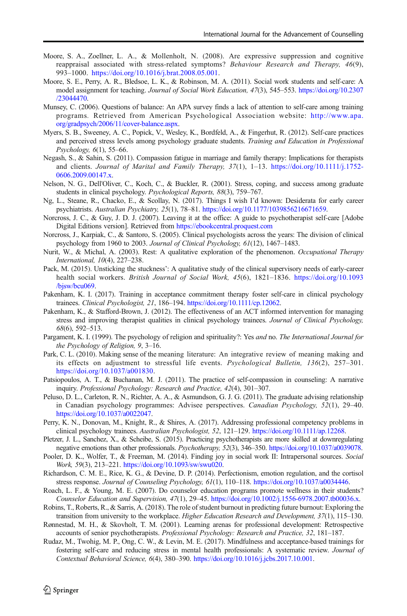- <span id="page-17-0"></span>Moore, S. A., Zoellner, L. A., & Mollenholt, N. (2008). Are expressive suppression and cognitive reappraisal associated with stress-related symptoms? Behaviour Research and Therapy, 46(9), 993–1000. [https://doi.org/10.1016/j.brat.2008.05.001.](https://doi.org/10.1016/j.brat.2008.05.001)
- Moore, S. E., Perry, A. R., Bledsoe, L. K., & Robinson, M. A. (2011). Social work students and self-care: A model assignment for teaching. Journal of Social Work Education, 47(3), 545–553. [https://doi.org/10.2307](https://doi.org/10.2307/23044470) [/23044470.](https://doi.org/10.2307/23044470)
- Munsey, C. (2006). Questions of balance: An APA survey finds a lack of attention to self-care among training programs. Retrieved from American Psychological Association website: [http://www.apa.](http://www.apa.org/gradpsych/2006/11/cover-balance.aspx) [org/gradpsych/2006/11/cover-balance.aspx](http://www.apa.org/gradpsych/2006/11/cover-balance.aspx).
- Myers, S. B., Sweeney, A. C., Popick, V., Wesley, K., Bordfeld, A., & Fingerhut, R. (2012). Self-care practices and perceived stress levels among psychology graduate students. Training and Education in Professional Psychology, 6(1), 55–66.
- Negash, S., & Sahin, S. (2011). Compassion fatigue in marriage and family therapy: Implications for therapists and clients. Journal of Marital and Family Therapy, 37(1), 1–13. [https://doi.org/10.1111/j.1752-](https://doi.org/10.1111/j.1752-0606.2009.00147.x) [0606.2009.00147.x.](https://doi.org/10.1111/j.1752-0606.2009.00147.x)
- Nelson, N. G., Dell'Oliver, C., Koch, C., & Buckler, R. (2001). Stress, coping, and success among graduate students in clinical psychology. Psychological Reports, 88(3), 759–767.
- Ng, L., Steane, R., Chacko, E., & Scollay, N. (2017). Things I wish I'd known: Desiderata for early career psychiatrists. Australian Psychiatry, 25(1), 78–81. <https://doi.org/10.1177/1039856216671659>.
- Norcross, J. C., & Guy, J. D. J. (2007). Leaving it at the office: A guide to psychotherapist self-care [Adobe Digital Editions version]. Retrieved from <https://ebookcentral.proquest.com>
- Norcross, J., Karpiak, C., & Santoro, S. (2005). Clinical psychologists across the years: The division of clinical psychology from 1960 to 2003. Journal of Clinical Psychology, 61(12), 1467–1483.
- Nurit, W., & Michal, A. (2003). Rest: A qualitative exploration of the phenomenon. *Occupational Therapy* International, 10(4), 227–238.
- Pack, M. (2015). Unsticking the stuckness': A qualitative study of the clinical supervisory needs of early-career health social workers. British Journal of Social Work, 45(6), 1821–1836. [https://doi.org/10.1093](https://doi.org/10.1093/bjsw/bcu069) [/bjsw/bcu069](https://doi.org/10.1093/bjsw/bcu069).
- Pakenham, K. I. (2017). Training in acceptance commitment therapy foster self-care in clinical psychology trainees. Clinical Psychologist, 21, 186-194. <https://doi.org/10.1111/cp.12062>.
- Pakenham, K., & Stafford-Brown, J. (2012). The effectiveness of an ACT informed intervention for managing stress and improving therapist qualities in clinical psychology trainees. Journal of Clinical Psychology, 68(6), 592–513.
- Pargament, K. I. (1999). The psychology of religion and spirituality?: Yes and no. The International Journal for the Psychology of Religion, 9, 3–16.
- Park, C. L. (2010). Making sense of the meaning literature: An integrative review of meaning making and its effects on adjustment to stressful life events. Psychological Bulletin, 136(2), 257–301. [https://doi.org/10.1037/a001830.](https://doi.org/10.1037/a001830)
- Patsiopoulos, A. T., & Buchanan, M. J. (2011). The practice of self-compassion in counseling: A narrative inquiry. Professional Psychology: Research and Practice, 42(4), 301–307.
- Peluso, D. L., Carleton, R. N., Richter, A. A., & Asmundson, G. J. G. (2011). The graduate advising relationship in Canadian psychology programmes: Advisee perspectives. Canadian Psychology, 52(1), 29–40. <https://doi.org/10.1037/a0022047>.
- Perry, K. N., Donovan, M., Knight, R., & Shires, A. (2017). Addressing professional competency problems in clinical psychology trainees. Australian Psychologist, 52, 121–129. <https://doi.org/10.1111/ap.12268>.
- Pletzer, J. L., Sanchez, X., & Scheibe, S. (2015). Practicing psychotherapists are more skilled at downregulating negative emotions than other professionals. Psychotherapy, 52(3), 346–350. [https://doi.org/10.1037/a0039078.](https://doi.org/10.1037/a0039078)
- Pooler, D. K., Wolfer, T., & Freeman, M. (2014). Finding joy in social work II: Intrapersonal sources. Social Work, 59(3), 213–221. [https://doi.org/10.1093/sw/swu020.](https://doi.org/10.1093/sw/swu020)
- Richardson, C. M. E., Rice, K. G., & Devine, D. P. (2014). Perfectionism, emotion regulation, and the cortisol stress response. Journal of Counseling Psychology, 61(1), 110–118. <https://doi.org/10.1037/a0034446>.
- Roach, L. F., & Young, M. E. (2007). Do counselor education programs promote wellness in their students? Counselor Education and Supervision, 47(1), 29–45. [https://doi.org/10.1002/j.1556-6978.2007.tb00036.x.](https://doi.org/10.1002/j.1556-6978.2007.tb00036.x)
- Robins, T., Roberts, R., & Sarris, A. (2018). The role of student burnout in predicting future burnout: Exploring the transition from university to the workplace. Higher Education Research and Development, 37(1), 115–130.
- Rønnestad, M. H., & Skovholt, T. M. (2001). Learning arenas for professional development: Retrospective accounts of senior psychotherapists. Professional Psychology: Research and Practice, 32, 181–187.
- Rudaz, M., Twohig, M. P., Ong, C. W., & Levin, M. E. (2017). Mindfulness and acceptance-based trainings for fostering self-care and reducing stress in mental health professionals: A systematic review. Journal of Contextual Behavioral Science, 6(4), 380–390. [https://doi.org/10.1016/j.jcbs.2017.10.001.](https://doi.org/10.1016/j.jcbs.2017.10.001)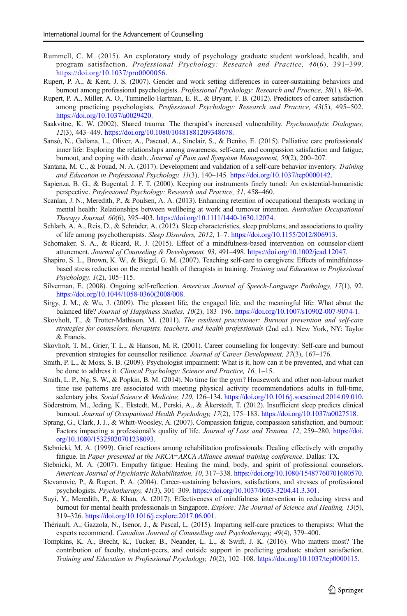- <span id="page-18-0"></span>Rummell, C. M. (2015). An exploratory study of psychology graduate student workload, health, and program satisfaction. Professional Psychology: Research and Practice, 46(6), 391–399. [https://doi.org/10.1037/pro0000056.](https://doi.org/10.1037/pro0000056)
- Rupert, P. A., & Kent, J. S. (2007). Gender and work setting differences in career-sustaining behaviors and burnout among professional psychologists. Professional Psychology: Research and Practice, 38(1), 88–96.
- Rupert, P. A., Miller, A. O., Tuminello Hartman, E. R., & Bryant, F. B. (2012). Predictors of career satisfaction among practicing psychologists. Professional Psychology: Research and Practice, 43(5), 495-502. <https://doi.org/10.1037/a0029420>.
- Saakvitne, K. W. (2002). Shared trauma: The therapist's increased vulnerability. Psychoanalytic Dialogues, 12(3), 443–449. [https://doi.org/10.1080/10481881209348678.](https://doi.org/10.1080/10481881209348678)
- Sansó, N., Galiana, L., Oliver, A., Pascual, A., Sinclair, S., & Benito, E. (2015). Palliative care professionals' inner life: Exploring the relationships among awareness, self-care, and compassion satisfaction and fatigue, burnout, and coping with death. Journal of Pain and Symptom Management, 50(2), 200–207.
- Santana, M. C., & Fouad, N. A. (2017). Development and validation of a self-care behavior inventory. Training and Education in Professional Psychology, 11(3), 140–145. <https://doi.org/10.1037/tep0000142>.
- Sapienza, B. G., & Bugental, J. F. T. (2000). Keeping our instruments finely tuned: An existential-humanistic perspective. Professional Psychology: Research and Practice, 31, 458–460.
- Scanlan, J. N., Meredith, P., & Poulsen, A. A. (2013). Enhancing retention of occupational therapists working in mental health: Relationships between wellbeing at work and turnover intention. Australian Occupational Therapy Journal, 60(6), 395–403. <https://doi.org/10.1111/1440-1630.12074>.
- Schlarb, A. A., Reis, D., & Schröder, A. (2012). Sleep characteristics, sleep problems, and associations to quality of life among psychotherapists. Sleep Disorders, 2012, 1–7. <https://doi.org/10.1155/2012/806913>.
- Schomaker, S. A., & Ricard, R. J. (2015). Effect of a mindfulness-based intervention on counselor-client attunement. Journal of Counseling & Development, 93, 491–498. <https://doi.org/10.1002/jcad.12047>.
- Shapiro, S. L., Brown, K. W., & Biegel, G. M. (2007). Teaching self-care to caregivers: Effects of mindfulnessbased stress reduction on the mental health of therapists in training. Training and Education in Professional Psychology, 1(2), 105–115.
- Silverman, E. (2008). Ongoing self-reflection. American Journal of Speech-Language Pathology, 17(1), 92. [https://doi.org/10.1044/1058-0360\(2008/008.](https://doi.org/10.1044/1058-0360(2008/�008)
- Sirgy, J. M., & Wu, J. (2009). The pleasant life, the engaged life, and the meaningful life: What about the balanced life? Journal of Happiness Studies, 10(2), 183–196. [https://doi.org/10.1007/s10902-007-9074-1.](https://doi.org/10.1007/s10902-007-9074-1)
- Skovholt, T., & Trotter-Mathison, M. (2011). The resilient practitioner: Burnout prevention and self-care strategies for counselors, therapists, teachers, and health professionals (2nd ed.). New York, NY: Taylor & Francis.
- Skovholt, T. M., Grier, T. L., & Hanson, M. R. (2001). Career counselling for longevity: Self-care and burnout prevention strategies for counsellor resilience. Journal of Career Development, 27(3), 167–176.
- Smith, P. L., & Moss, S. B. (2009). Psychologist impairment: What is it, how can it be prevented, and what can be done to address it. Clinical Psychology: Science and Practice, 16, 1–15.
- Smith, L. P., Ng, S. W., & Popkin, B. M. (2014). No time for the gym? Housework and other non-labour market time use patterns are associated with meeting physical activity recommendations adults in full-time, sedentary jobs. Social Science & Medicine, 120, 126–134. [https://doi.org/10.1016/j.socscimed.2014.09.010.](https://doi.org/10.1016/j.socscimed.2014.09.010)
- Söderström, M., Jeding, K., Ekstedt, M., Perski, A., & Åkerstedt, T. (2012). Insufficient sleep predicts clinical burnout. Journal of Occupational Health Psychology, 17(2), 175–183. [https://doi.org/10.1037/a0027518.](https://doi.org/10.1037/a0027518)
- Sprang, G., Clark, J. J., & Whitt-Woosley, A. (2007). Compassion fatigue, compassion satisfaction, and burnout: Factors impacting a professional's quality of life. Journal of Loss and Trauma, 12, 259–280. [https://doi.](https://doi.org/10.1080/15325020701238093) [org/10.1080/15325020701238093.](https://doi.org/10.1080/15325020701238093)
- Stebnicki, M. A. (1999). Grief reactions among rehabilitation professionals: Dealing effectively with empathy fatigue. In Paper presented at the NRCA=ARCA Alliance annual training conference. Dallas: TX.
- Stebnicki, M. A. (2007). Empathy fatigue: Healing the mind, body, and spirit of professional counselors. American Journal of Psychiatric Rehabilitation, 10, 317–338. [https://doi.org/10.1080/15487760701680570.](https://doi.org/10.1080/15487760701680570)
- Stevanovic, P., & Rupert, P. A. (2004). Career-sustaining behaviors, satisfactions, and stresses of professional psychologists. Psychotherapy, 41(3), 301–309. [https://doi.org/10.1037/0033-3204.41.3.301.](https://doi.org/10.1037/0033-3204.41.3.301)
- Suyi, Y., Meredith, P., & Khan, A. (2017). Effectiveness of mindfulness intervention in reducing stress and burnout for mental health professionals in Singapore. Explore: The Journal of Science and Healing, 13(5), 319–326. [https://doi.org/10.1016/j.explore.2017.06.001.](https://doi.org/10.1016/j.explore.2017.06.001)
- Thériault, A., Gazzola, N., Isenor, J., & Pascal, L. (2015). Imparting self-care practices to therapists: What the experts recommend. Canadian Journal of Counselling and Psychotherapy, 49(4), 379–400.
- Tompkins, K. A., Brecht, K., Tucker, B., Neander, L. L., & Swift, J. K. (2016). Who matters most? The contribution of faculty, student-peers, and outside support in predicting graduate student satisfaction. Training and Education in Professional Psychology, 10(2), 102–108. <https://doi.org/10.1037/tep0000115>.